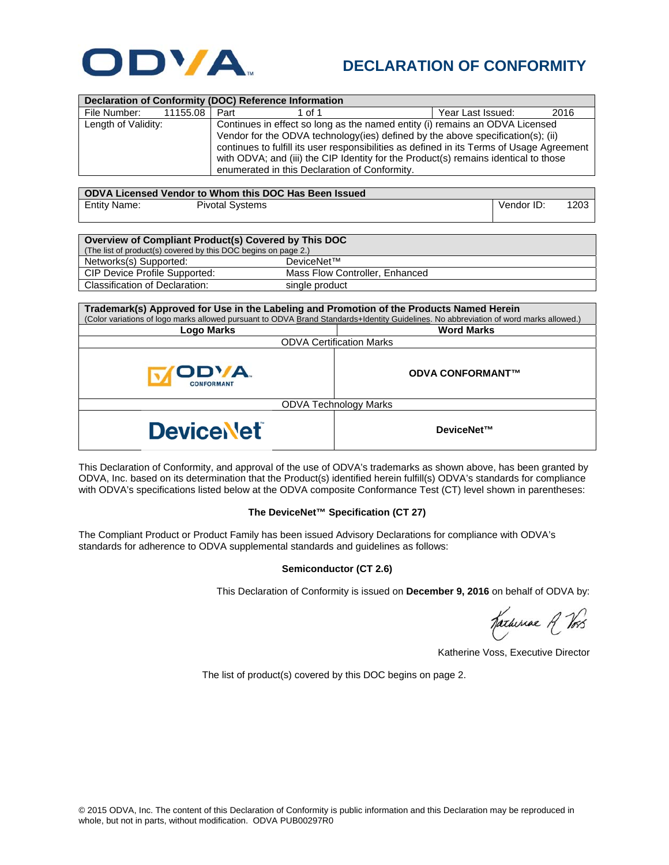

## **DECLARATION OF CONFORMITY**

| Declaration of Conformity (DOC) Reference Information |          |                                                                                                                                                                                                                                   |        |  |                   |      |      |  |  |
|-------------------------------------------------------|----------|-----------------------------------------------------------------------------------------------------------------------------------------------------------------------------------------------------------------------------------|--------|--|-------------------|------|------|--|--|
| File Number:                                          | 11155.08 | Part                                                                                                                                                                                                                              | 1 of 1 |  | Year Last Issued: |      | 2016 |  |  |
| Length of Validity:                                   |          | Continues in effect so long as the named entity (i) remains an ODVA Licensed<br>Vendor for the ODVA technology(ies) defined by the above specification(s); (ii)                                                                   |        |  |                   |      |      |  |  |
|                                                       |          | continues to fulfill its user responsibilities as defined in its Terms of Usage Agreement<br>with ODVA; and (iii) the CIP Identity for the Product(s) remains identical to those<br>enumerated in this Declaration of Conformity. |        |  |                   |      |      |  |  |
|                                                       |          |                                                                                                                                                                                                                                   |        |  |                   |      |      |  |  |
| ODVA Licensed Vendor to Whom this DOC Has Been Issued |          |                                                                                                                                                                                                                                   |        |  |                   |      |      |  |  |
| <b>Entity Name:</b><br><b>Pivotal Systems</b>         |          |                                                                                                                                                                                                                                   |        |  | Vendor ID:        | 1203 |      |  |  |

| Overview of Compliant Product(s) Covered by This DOC           |                                |  |  |  |  |
|----------------------------------------------------------------|--------------------------------|--|--|--|--|
| (The list of product(s) covered by this DOC begins on page 2.) |                                |  |  |  |  |
| Networks(s) Supported:                                         | DeviceNet™                     |  |  |  |  |
| CIP Device Profile Supported:                                  | Mass Flow Controller, Enhanced |  |  |  |  |
| Classification of Declaration:                                 | single product                 |  |  |  |  |

| Trademark(s) Approved for Use in the Labeling and Promotion of the Products Named Herein<br>(Color variations of logo marks allowed pursuant to ODVA Brand Standards+Identity Guidelines. No abbreviation of word marks allowed.) |                         |  |  |  |  |
|-----------------------------------------------------------------------------------------------------------------------------------------------------------------------------------------------------------------------------------|-------------------------|--|--|--|--|
| Logo Marks                                                                                                                                                                                                                        | <b>Word Marks</b>       |  |  |  |  |
| <b>ODVA Certification Marks</b>                                                                                                                                                                                                   |                         |  |  |  |  |
| ODVA.<br><b>CONFORMANT</b>                                                                                                                                                                                                        | <b>ODVA CONFORMANT™</b> |  |  |  |  |
| <b>ODVA Technology Marks</b>                                                                                                                                                                                                      |                         |  |  |  |  |
| <b>DeviceNet</b>                                                                                                                                                                                                                  | DeviceNet™              |  |  |  |  |

This Declaration of Conformity, and approval of the use of ODVA's trademarks as shown above, has been granted by ODVA, Inc. based on its determination that the Product(s) identified herein fulfill(s) ODVA's standards for compliance with ODVA's specifications listed below at the ODVA composite Conformance Test (CT) level shown in parentheses:

## **The DeviceNet™ Specification (CT 27)**

The Compliant Product or Product Family has been issued Advisory Declarations for compliance with ODVA's standards for adherence to ODVA supplemental standards and guidelines as follows:

## **Semiconductor (CT 2.6)**

This Declaration of Conformity is issued on **December 9, 2016** on behalf of ODVA by:

Jacherine A Vos

Katherine Voss, Executive Director

The list of product(s) covered by this DOC begins on page 2.